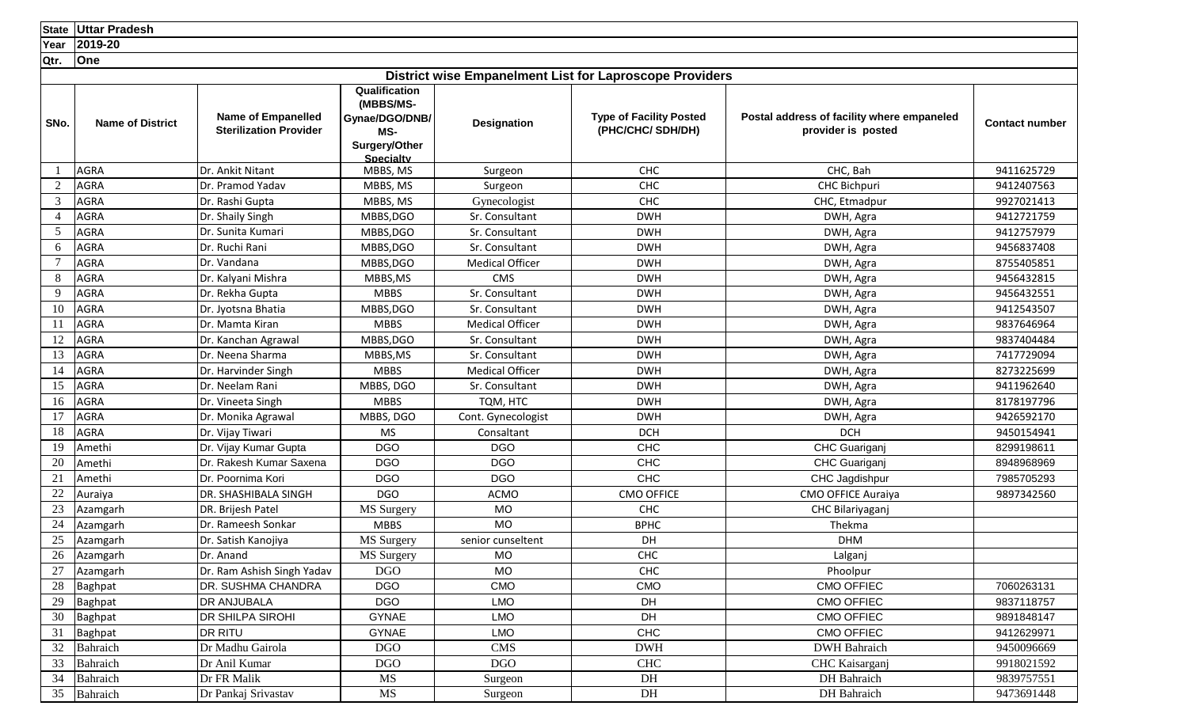**State Uttar Pradesh**

**Year 2019-20**

|                | <b>TedI LUIS-LU</b>     |                                                            |                                                                                          |                        |                                                                |                                                                  |                       |
|----------------|-------------------------|------------------------------------------------------------|------------------------------------------------------------------------------------------|------------------------|----------------------------------------------------------------|------------------------------------------------------------------|-----------------------|
| Qtr.           | <b>One</b>              |                                                            |                                                                                          |                        |                                                                |                                                                  |                       |
|                |                         |                                                            |                                                                                          |                        | <b>District wise Empanelment List for Laproscope Providers</b> |                                                                  |                       |
| SNo.           | <b>Name of District</b> | <b>Name of Empanelled</b><br><b>Sterilization Provider</b> | Qualification<br>(MBBS/MS-<br>Gynae/DGO/DNB/<br>MS-<br>Surgery/Other<br><b>Specialty</b> | <b>Designation</b>     | <b>Type of Facility Posted</b><br>(PHC/CHC/ SDH/DH)            | Postal address of facility where empaneled<br>provider is posted | <b>Contact number</b> |
|                | <b>AGRA</b>             | Dr. Ankit Nitant                                           | MBBS, MS                                                                                 | Surgeon                | <b>CHC</b>                                                     | CHC, Bah                                                         | 9411625729            |
| 2              | <b>AGRA</b>             | Dr. Pramod Yadav                                           | MBBS, MS                                                                                 | Surgeon                | <b>CHC</b>                                                     | CHC Bichpuri                                                     | 9412407563            |
| $\mathfrak{Z}$ | <b>AGRA</b>             | Dr. Rashi Gupta                                            | MBBS, MS                                                                                 | Gynecologist           | CHC                                                            | CHC, Etmadpur                                                    | 9927021413            |
| $\overline{4}$ | AGRA                    | Dr. Shaily Singh                                           | MBBS, DGO                                                                                | Sr. Consultant         | <b>DWH</b>                                                     | DWH, Agra                                                        | 9412721759            |
| 5              | <b>AGRA</b>             | Dr. Sunita Kumari                                          | MBBS, DGO                                                                                | Sr. Consultant         | <b>DWH</b>                                                     | DWH, Agra                                                        | 9412757979            |
| 6              | <b>AGRA</b>             | Dr. Ruchi Rani                                             | MBBS, DGO                                                                                | Sr. Consultant         | <b>DWH</b>                                                     | DWH, Agra                                                        | 9456837408            |
| 7              | <b>AGRA</b>             | Dr. Vandana                                                | MBBS,DGO                                                                                 | <b>Medical Officer</b> | <b>DWH</b>                                                     | DWH, Agra                                                        | 8755405851            |
| 8              | AGRA                    | Dr. Kalyani Mishra                                         | MBBS, MS                                                                                 | <b>CMS</b>             | <b>DWH</b>                                                     | DWH, Agra                                                        | 9456432815            |
| 9              | AGRA                    | Dr. Rekha Gupta                                            | <b>MBBS</b>                                                                              | Sr. Consultant         | <b>DWH</b>                                                     | DWH, Agra                                                        | 9456432551            |
| 10             | <b>AGRA</b>             | Dr. Jyotsna Bhatia                                         | MBBS, DGO                                                                                | Sr. Consultant         | <b>DWH</b>                                                     | DWH, Agra                                                        | 9412543507            |
| 11             | AGRA                    | Dr. Mamta Kiran                                            | <b>MBBS</b>                                                                              | <b>Medical Officer</b> | <b>DWH</b>                                                     | DWH, Agra                                                        | 9837646964            |
| 12             | AGRA                    | Dr. Kanchan Agrawal                                        | MBBS, DGO                                                                                | Sr. Consultant         | <b>DWH</b>                                                     | DWH, Agra                                                        | 9837404484            |
| 13             | <b>AGRA</b>             | Dr. Neena Sharma                                           | MBBS, MS                                                                                 | Sr. Consultant         | <b>DWH</b>                                                     | DWH, Agra                                                        | 7417729094            |
| 14             | AGRA                    | Dr. Harvinder Singh                                        | <b>MBBS</b>                                                                              | <b>Medical Officer</b> | <b>DWH</b>                                                     | DWH, Agra                                                        | 8273225699            |
| 15             | AGRA                    | Dr. Neelam Rani                                            | MBBS, DGO                                                                                | Sr. Consultant         | <b>DWH</b>                                                     | DWH, Agra                                                        | 9411962640            |
| 16             | <b>AGRA</b>             | Dr. Vineeta Singh                                          | <b>MBBS</b>                                                                              | TQM, HTC               | <b>DWH</b>                                                     | DWH, Agra                                                        | 8178197796            |
| 17             | AGRA                    | Dr. Monika Agrawal                                         | MBBS, DGO                                                                                | Cont. Gynecologist     | <b>DWH</b>                                                     | DWH, Agra                                                        | 9426592170            |
| 18             | <b>AGRA</b>             | Dr. Vijay Tiwari                                           | <b>MS</b>                                                                                | Consaltant             | <b>DCH</b>                                                     | <b>DCH</b>                                                       | 9450154941            |
| 19             | Amethi                  | Dr. Vijay Kumar Gupta                                      | <b>DGO</b>                                                                               | <b>DGO</b>             | <b>CHC</b>                                                     | CHC Guariganj                                                    | 8299198611            |
| 20             | Amethi                  | Dr. Rakesh Kumar Saxena                                    | <b>DGO</b>                                                                               | <b>DGO</b>             | <b>CHC</b>                                                     | CHC Guariganj                                                    | 8948968969            |
| 21             | Amethi                  | Dr. Poornima Kori                                          | <b>DGO</b>                                                                               | <b>DGO</b>             | <b>CHC</b>                                                     | CHC Jagdishpur                                                   | 7985705293            |
| 22             | Auraiya                 | DR. SHASHIBALA SINGH                                       | DGO                                                                                      | <b>ACMO</b>            | <b>CMO OFFICE</b>                                              | CMO OFFICE Auraiya                                               | 9897342560            |
| 23             | Azamgarh                | DR. Brijesh Patel                                          | MS Surgery                                                                               | <b>MO</b>              | CHC                                                            | CHC Bilariyaganj                                                 |                       |
| 24             | Azamgarh                | Dr. Rameesh Sonkar                                         | <b>MBBS</b>                                                                              | <b>MO</b>              | <b>BPHC</b>                                                    | Thekma                                                           |                       |
| 25             | Azamgarh                | Dr. Satish Kanojiya                                        | MS Surgery                                                                               | senior cunseltent      | DH                                                             | <b>DHM</b>                                                       |                       |
| 26             | Azamgarh                | Dr. Anand                                                  | MS Surgery                                                                               | <b>MO</b>              | CHC                                                            | Lalganj                                                          |                       |
| 27             | Azamgarh                | Dr. Ram Ashish Singh Yadav                                 | <b>DGO</b>                                                                               | <b>MO</b>              | <b>CHC</b>                                                     | Phoolpur                                                         |                       |
| 28             | Baghpat                 | DR. SUSHMA CHANDRA                                         | <b>DGO</b>                                                                               | CMO                    | <b>CMO</b>                                                     | <b>CMO OFFIEC</b>                                                | 7060263131            |
| 29             | Baghpat                 | <b>DR ANJUBALA</b>                                         | <b>DGO</b>                                                                               | <b>LMO</b>             | DH                                                             | CMO OFFIEC                                                       | 9837118757            |
| 30             | Baghpat                 | <b>DR SHILPA SIROHI</b>                                    | <b>GYNAE</b>                                                                             | <b>LMO</b>             | DH                                                             | <b>CMO OFFIEC</b>                                                | 9891848147            |
| 31             | Baghpat                 | <b>DR RITU</b>                                             | <b>GYNAE</b>                                                                             | <b>LMO</b>             | CHC                                                            | <b>CMO OFFIEC</b>                                                | 9412629971            |
| 32             | Bahraich                | Dr Madhu Gairola                                           | <b>DGO</b>                                                                               | <b>CMS</b>             | <b>DWH</b>                                                     | <b>DWH</b> Bahraich                                              | 9450096669            |
| 33             | Bahraich                | Dr Anil Kumar                                              | <b>DGO</b>                                                                               | <b>DGO</b>             | <b>CHC</b>                                                     | CHC Kaisarganj                                                   | 9918021592            |
| 34             | Bahraich                | Dr FR Malik                                                | MS                                                                                       | Surgeon                | DH                                                             | DH Bahraich                                                      | 9839757551            |
|                | 35 Bahraich             | Dr Pankaj Srivastav                                        | MS                                                                                       | Surgeon                | DH                                                             | DH Bahraich                                                      | 9473691448            |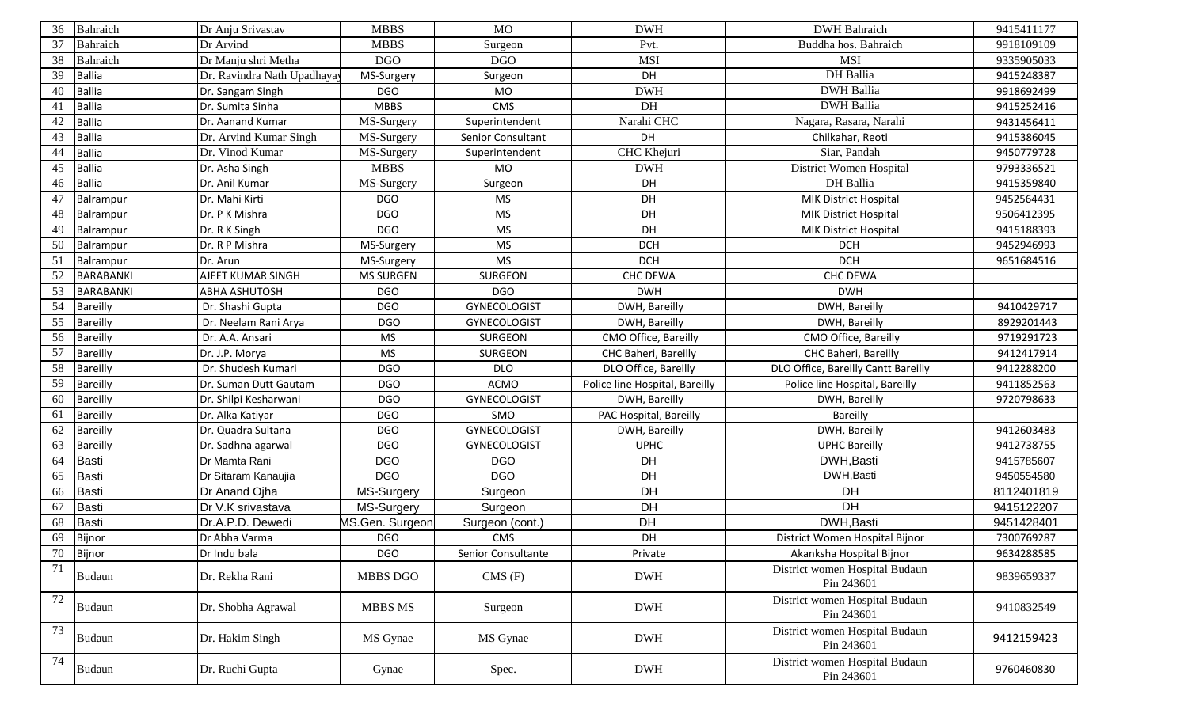| 36 | Bahraich         | Dr Anju Srivastav           | <b>MBBS</b>            | <b>MO</b>           | <b>DWH</b>                     | <b>DWH</b> Bahraich                          | 9415411177 |
|----|------------------|-----------------------------|------------------------|---------------------|--------------------------------|----------------------------------------------|------------|
| 37 | Bahraich         | Dr Arvind                   | <b>MBBS</b>            | Surgeon             | Pvt.                           | Buddha hos. Bahraich                         | 9918109109 |
| 38 | Bahraich         | Dr Manju shri Metha         | <b>DGO</b>             | <b>DGO</b>          | <b>MSI</b>                     | <b>MSI</b>                                   | 9335905033 |
| 39 | <b>Ballia</b>    | Dr. Ravindra Nath Upadhayay | MS-Surgery             | Surgeon             | DH                             | DH Ballia                                    | 9415248387 |
| 40 | <b>Ballia</b>    | Dr. Sangam Singh            | <b>DGO</b>             | <b>MO</b>           | <b>DWH</b>                     | <b>DWH</b> Ballia                            | 9918692499 |
| 41 | <b>Ballia</b>    | Dr. Sumita Sinha            | <b>MBBS</b>            | CMS                 | DH                             | <b>DWH</b> Ballia                            | 9415252416 |
| 42 | <b>Ballia</b>    | Dr. Aanand Kumar            | MS-Surgery             | Superintendent      | Narahi CHC                     | Nagara, Rasara, Narahi                       | 9431456411 |
| 43 | <b>Ballia</b>    | Dr. Arvind Kumar Singh      | MS-Surgery             | Senior Consultant   | DH                             | Chilkahar, Reoti                             | 9415386045 |
| 44 | <b>Ballia</b>    | Dr. Vinod Kumar             | MS-Surgery             | Superintendent      | CHC Khejuri                    | Siar, Pandah                                 | 9450779728 |
| 45 | <b>Ballia</b>    | Dr. Asha Singh              | <b>MBBS</b>            | <b>MO</b>           | <b>DWH</b>                     | District Women Hospital                      | 9793336521 |
| 46 | <b>Ballia</b>    | Dr. Anil Kumar              | MS-Surgery             | Surgeon             | DH                             | DH Ballia                                    | 9415359840 |
| 47 | Balrampur        | Dr. Mahi Kirti              | <b>DGO</b>             | <b>MS</b>           | DH                             | <b>MIK District Hospital</b>                 | 9452564431 |
| 48 | Balrampur        | Dr. P K Mishra              | <b>DGO</b>             | <b>MS</b>           | DH                             | <b>MIK District Hospital</b>                 | 9506412395 |
| 49 | Balrampur        | Dr. R K Singh               | <b>DGO</b>             | <b>MS</b>           | DH                             | <b>MIK District Hospital</b>                 | 9415188393 |
| 50 | Balrampur        | Dr. R P Mishra              | MS-Surgery             | <b>MS</b>           | <b>DCH</b>                     | <b>DCH</b>                                   | 9452946993 |
| 51 | Balrampur        | Dr. Arun                    | MS-Surgery             | <b>MS</b>           | <b>DCH</b>                     | <b>DCH</b>                                   | 9651684516 |
| 52 | <b>BARABANKI</b> | AJEET KUMAR SINGH           | <b>MS SURGEN</b>       | SURGEON             | CHC DEWA                       | <b>CHC DEWA</b>                              |            |
| 53 | <b>BARABANKI</b> | <b>ABHA ASHUTOSH</b>        | <b>DGO</b>             | <b>DGO</b>          | <b>DWH</b>                     | <b>DWH</b>                                   |            |
| 54 | Bareilly         | Dr. Shashi Gupta            | <b>DGO</b>             | <b>GYNECOLOGIST</b> | DWH, Bareilly                  | DWH, Bareilly                                | 9410429717 |
| 55 | Bareilly         | Dr. Neelam Rani Arya        | <b>DGO</b>             | <b>GYNECOLOGIST</b> | DWH, Bareilly                  | DWH, Bareilly                                | 8929201443 |
| 56 | Bareilly         | Dr. A.A. Ansari             | <b>MS</b>              | SURGEON             | CMO Office, Bareilly           | CMO Office, Bareilly                         | 9719291723 |
| 57 | Bareilly         | Dr. J.P. Morya              | <b>MS</b>              | SURGEON             | CHC Baheri, Bareilly           | CHC Baheri, Bareilly                         | 9412417914 |
| 58 | Bareilly         | Dr. Shudesh Kumari          | <b>DGO</b>             | <b>DLO</b>          | DLO Office, Bareilly           | DLO Office, Bareilly Cantt Bareilly          | 9412288200 |
| 59 | Bareilly         | Dr. Suman Dutt Gautam       | <b>DGO</b>             | ACMO                | Police line Hospital, Bareilly | Police line Hospital, Bareilly               | 9411852563 |
| 60 | Bareilly         | Dr. Shilpi Kesharwani       | <b>DGO</b>             | GYNECOLOGIST        | DWH, Bareilly                  | DWH, Bareilly                                | 9720798633 |
| 61 | Bareilly         | Dr. Alka Katiyar            | <b>DGO</b>             | SMO                 | PAC Hospital, Bareilly         | Bareilly                                     |            |
| 62 | Bareilly         | Dr. Quadra Sultana          | <b>DGO</b>             | GYNECOLOGIST        | DWH, Bareilly                  | DWH, Bareilly                                | 9412603483 |
| 63 | Bareilly         | Dr. Sadhna agarwal          | <b>DGO</b>             | <b>GYNECOLOGIST</b> | <b>UPHC</b>                    | <b>UPHC Bareilly</b>                         | 9412738755 |
| 64 | <b>Basti</b>     | Dr Mamta Rani               | <b>DGO</b>             | <b>DGO</b>          | DH                             | DWH, Basti                                   | 9415785607 |
| 65 | <b>Basti</b>     | Dr Sitaram Kanaujia         | <b>DGO</b>             | <b>DGO</b>          | DH                             | DWH, Basti                                   | 9450554580 |
| 66 | <b>Basti</b>     | Dr Anand Oiha               | MS-Surgery             | Surgeon             | DH                             | DH                                           | 8112401819 |
| 67 | <b>Basti</b>     | Dr V.K srivastava           | MS-Surgery             | Surgeon             | <b>DH</b>                      | DH                                           | 9415122207 |
| 68 | <b>Basti</b>     | Dr.A.P.D. Dewedi            | <b>MS.Gen. Surgeon</b> | Surgeon (cont.)     | DH                             | DWH, Basti                                   | 9451428401 |
| 69 | Bijnor           | Dr Abha Varma               | <b>DGO</b>             | CMS                 | DH                             | District Women Hospital Bijnor               | 7300769287 |
| 70 | Bijnor           | Dr Indu bala                | DGO                    | Senior Consultante  | Private                        | Akanksha Hospital Bijnor                     | 9634288585 |
| 71 | <b>Budaun</b>    | Dr. Rekha Rani              | MBBS DGO               | CMS(F)              | <b>DWH</b>                     | District women Hospital Budaun<br>Pin 243601 | 9839659337 |
| 72 | Budaun           | Dr. Shobha Agrawal          | MBBS MS                | Surgeon             | <b>DWH</b>                     | District women Hospital Budaun<br>Pin 243601 | 9410832549 |
| 73 | Budaun           | Dr. Hakim Singh             | MS Gynae               | MS Gynae            | <b>DWH</b>                     | District women Hospital Budaun<br>Pin 243601 | 9412159423 |
| 74 | <b>Budaun</b>    | Dr. Ruchi Gupta             | Gynae                  | Spec.               | <b>DWH</b>                     | District women Hospital Budaun<br>Pin 243601 | 9760460830 |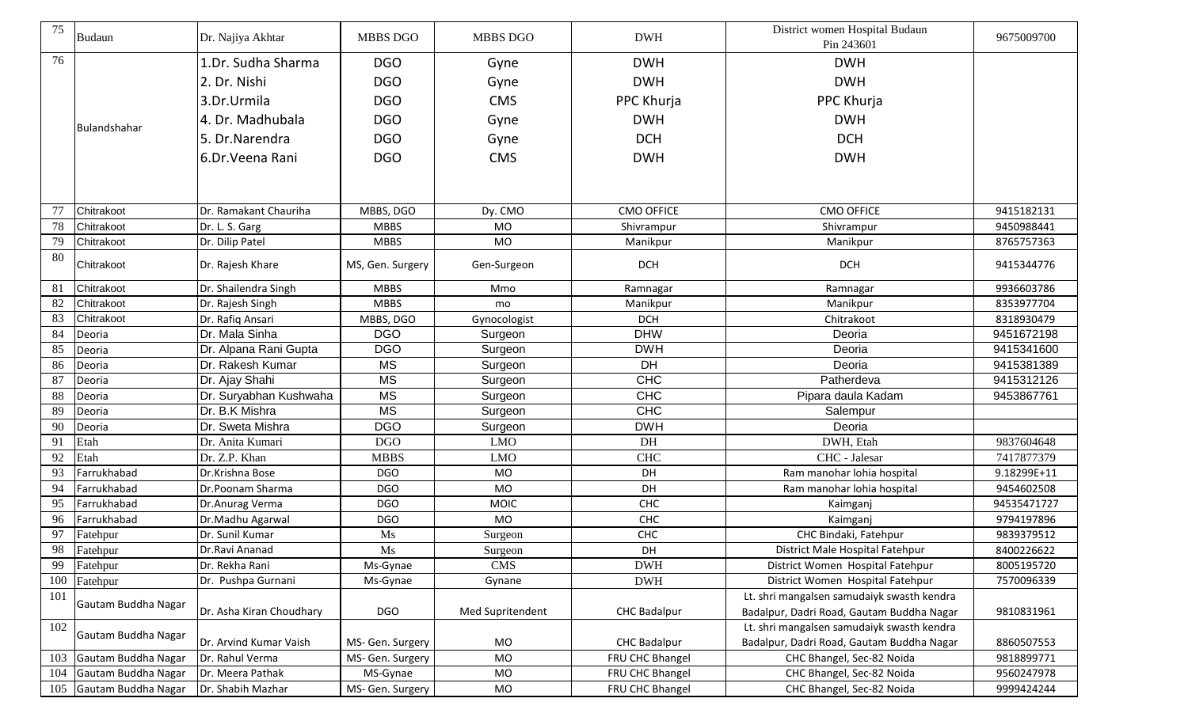| 75  | <b>Budaun</b>       | Dr. Najiya Akhtar        | MBBS DGO         | MBBS DGO         | <b>DWH</b>          | District women Hospital Budaun<br>Pin 243601                                            | 9675009700  |
|-----|---------------------|--------------------------|------------------|------------------|---------------------|-----------------------------------------------------------------------------------------|-------------|
| 76  |                     | 1.Dr. Sudha Sharma       | <b>DGO</b>       | Gyne             | <b>DWH</b>          | <b>DWH</b>                                                                              |             |
|     |                     | 2. Dr. Nishi             | <b>DGO</b>       | Gyne             | <b>DWH</b>          | <b>DWH</b>                                                                              |             |
|     |                     | 3.Dr.Urmila              | <b>DGO</b>       | <b>CMS</b>       | PPC Khurja          | PPC Khurja                                                                              |             |
|     |                     |                          |                  |                  |                     |                                                                                         |             |
|     | Bulandshahar        | 4. Dr. Madhubala         | <b>DGO</b>       | Gyne             | <b>DWH</b>          | <b>DWH</b>                                                                              |             |
|     |                     | 5. Dr. Narendra          | <b>DGO</b>       | Gyne             | <b>DCH</b>          | <b>DCH</b>                                                                              |             |
|     |                     | 6.Dr. Veena Rani         | <b>DGO</b>       | <b>CMS</b>       | <b>DWH</b>          | <b>DWH</b>                                                                              |             |
|     |                     |                          |                  |                  |                     |                                                                                         |             |
| 77  | Chitrakoot          | Dr. Ramakant Chauriha    | MBBS, DGO        | Dy. CMO          | <b>CMO OFFICE</b>   | <b>CMO OFFICE</b>                                                                       | 9415182131  |
| 78  | Chitrakoot          | Dr. L. S. Garg           | <b>MBBS</b>      | <b>MO</b>        | Shivrampur          | Shivrampur                                                                              | 9450988441  |
| 79  | Chitrakoot          | Dr. Dilip Patel          | <b>MBBS</b>      | <b>MO</b>        | Manikpur            | Manikpur                                                                                | 8765757363  |
| 80  | Chitrakoot          | Dr. Rajesh Khare         | MS, Gen. Surgery | Gen-Surgeon      | <b>DCH</b>          | <b>DCH</b>                                                                              | 9415344776  |
| 81  | Chitrakoot          | Dr. Shailendra Singh     | <b>MBBS</b>      | Mmo              | Ramnagar            | Ramnagar                                                                                | 9936603786  |
| 82  | Chitrakoot          | Dr. Rajesh Singh         | <b>MBBS</b>      | mo               | Manikpur            | Manikpur                                                                                | 8353977704  |
| 83  | Chitrakoot          | Dr. Rafiq Ansari         | MBBS, DGO        | Gynocologist     | <b>DCH</b>          | Chitrakoot                                                                              | 8318930479  |
| 84  | Deoria              | Dr. Mala Sinha           | <b>DGO</b>       | Surgeon          | <b>DHW</b>          | Deoria                                                                                  | 9451672198  |
| 85  | Deoria              | Dr. Alpana Rani Gupta    | <b>DGO</b>       | Surgeon          | <b>DWH</b>          | Deoria                                                                                  | 9415341600  |
| 86  | Deoria              | Dr. Rakesh Kumar         | <b>MS</b>        | Surgeon          | <b>DH</b>           | Deoria                                                                                  | 9415381389  |
| 87  | Deoria              | Dr. Ajay Shahi           | <b>MS</b>        | Surgeon          | <b>CHC</b>          | Patherdeva                                                                              | 9415312126  |
| 88  | Deoria              | Dr. Suryabhan Kushwaha   | <b>MS</b>        | Surgeon          | CHC                 | Pipara daula Kadam                                                                      | 9453867761  |
| 89  | Deoria              | Dr. B.K Mishra           | <b>MS</b>        | Surgeon          | CHC                 | Salempur                                                                                |             |
| 90  | Deoria              | Dr. Sweta Mishra         | <b>DGO</b>       | Surgeon          | <b>DWH</b>          | Deoria                                                                                  |             |
| 91  | Etah                | Dr. Anita Kumari         | <b>DGO</b>       | <b>LMO</b>       | DH                  | DWH, Etah                                                                               | 9837604648  |
| 92  | Etah                | Dr. Z.P. Khan            | <b>MBBS</b>      | <b>LMO</b>       | <b>CHC</b>          | CHC - Jalesar                                                                           | 7417877379  |
| 93  | Farrukhabad         | Dr.Krishna Bose          | <b>DGO</b>       | <b>MO</b>        | DH                  | Ram manohar lohia hospital                                                              | 9.18299E+11 |
| 94  | Farrukhabad         | Dr.Poonam Sharma         | <b>DGO</b>       | <b>MO</b>        | DH                  | Ram manohar lohia hospital                                                              | 9454602508  |
| 95  | Farrukhabad         | Dr.Anurag Verma          | <b>DGO</b>       | MOIC             | CHC                 | Kaimganj                                                                                | 94535471727 |
| 96  | Farrukhabad         | Dr.Madhu Agarwal         | <b>DGO</b>       | MO               | CHC                 | Kaimganj                                                                                | 9794197896  |
| 97  | Fatehpur            | Dr. Sunil Kumar          | Ms               | Surgeon          | CHC                 | CHC Bindaki, Fatehpur                                                                   | 9839379512  |
|     | 98 Fatehpur         | Dr.Ravi Ananad           | Ms               | Surgeon          | DH                  | District Male Hospital Fatehpur                                                         | 8400226622  |
| 99  | Fatehpur            | Dr. Rekha Rani           | Ms-Gynae         | <b>CMS</b>       | <b>DWH</b>          | District Women Hospital Fatehpur                                                        | 8005195720  |
| 100 | Fatehpur            | Dr. Pushpa Gurnani       | Ms-Gynae         | Gynane           | <b>DWH</b>          | District Women Hospital Fatehpur                                                        | 7570096339  |
| 101 | Gautam Buddha Nagar | Dr. Asha Kiran Choudhary | <b>DGO</b>       | Med Supritendent | <b>CHC Badalpur</b> | Lt. shri mangalsen samudaiyk swasth kendra<br>Badalpur, Dadri Road, Gautam Buddha Nagar | 9810831961  |
| 102 |                     |                          |                  |                  |                     | Lt. shri mangalsen samudaiyk swasth kendra                                              |             |
|     | Gautam Buddha Nagar | Dr. Arvind Kumar Vaish   | MS- Gen. Surgery | MO               | <b>CHC Badalpur</b> | Badalpur, Dadri Road, Gautam Buddha Nagar                                               | 8860507553  |
| 103 | Gautam Buddha Nagar | Dr. Rahul Verma          | MS- Gen. Surgery | MO               | FRU CHC Bhangel     | CHC Bhangel, Sec-82 Noida                                                               | 9818899771  |
| 104 | Gautam Buddha Nagar | Dr. Meera Pathak         | MS-Gynae         | MO               | FRU CHC Bhangel     | CHC Bhangel, Sec-82 Noida                                                               | 9560247978  |
| 105 | Gautam Buddha Nagar | Dr. Shabih Mazhar        | MS- Gen. Surgery | MO               | FRU CHC Bhangel     | CHC Bhangel, Sec-82 Noida                                                               | 9999424244  |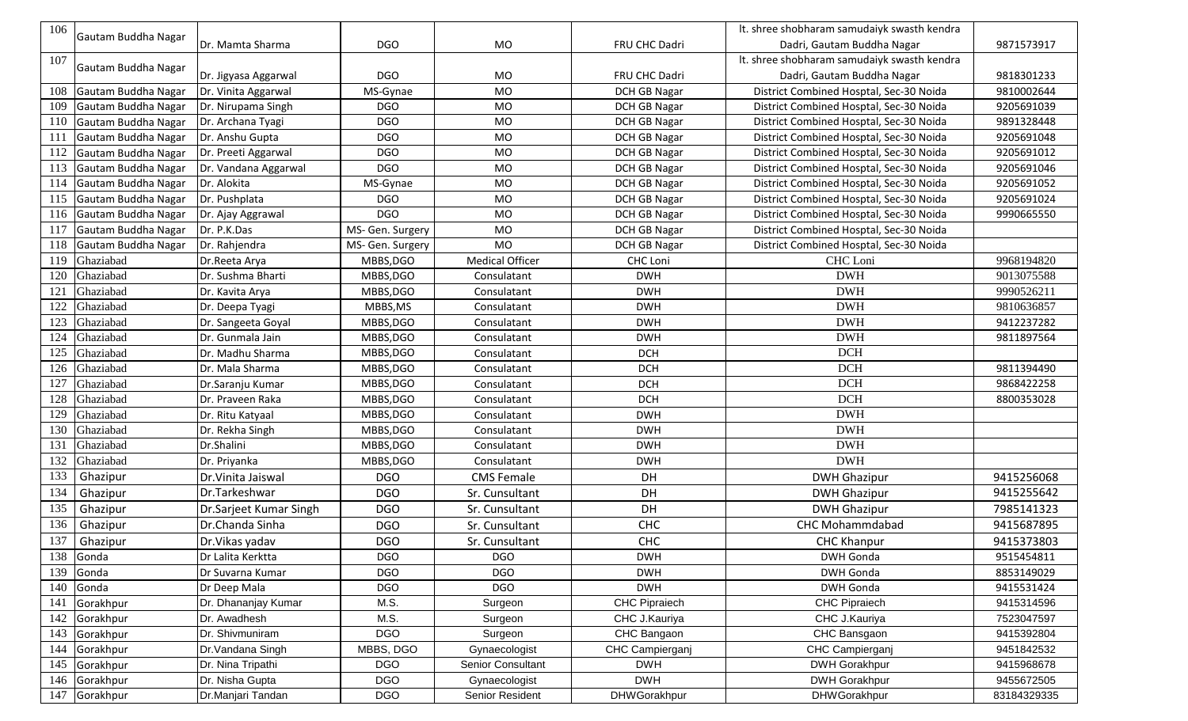| 106 |                     |                        |                  |                        |                      | It. shree shobharam samudaiyk swasth kendra |             |
|-----|---------------------|------------------------|------------------|------------------------|----------------------|---------------------------------------------|-------------|
|     | Gautam Buddha Nagar | Dr. Mamta Sharma       | <b>DGO</b>       | MO                     | FRU CHC Dadri        | Dadri, Gautam Buddha Nagar                  | 9871573917  |
| 107 |                     |                        |                  |                        |                      | It. shree shobharam samudaiyk swasth kendra |             |
|     | Gautam Buddha Nagar | Dr. Jigyasa Aggarwal   | DGO              | <b>MO</b>              | FRU CHC Dadri        | Dadri, Gautam Buddha Nagar                  | 9818301233  |
| 108 | Gautam Buddha Nagar | Dr. Vinita Aggarwal    | MS-Gynae         | <b>MO</b>              | <b>DCH GB Nagar</b>  | District Combined Hosptal, Sec-30 Noida     | 9810002644  |
| 109 | Gautam Buddha Nagar | Dr. Nirupama Singh     | <b>DGO</b>       | <b>MO</b>              | DCH GB Nagar         | District Combined Hosptal, Sec-30 Noida     | 9205691039  |
| 110 | Gautam Buddha Nagar | Dr. Archana Tyagi      | <b>DGO</b>       | <b>MO</b>              | DCH GB Nagar         | District Combined Hosptal, Sec-30 Noida     | 9891328448  |
| 111 | Gautam Buddha Nagar | Dr. Anshu Gupta        | <b>DGO</b>       | <b>MO</b>              | DCH GB Nagar         | District Combined Hosptal, Sec-30 Noida     | 9205691048  |
| 112 | Gautam Buddha Nagar | Dr. Preeti Aggarwal    | <b>DGO</b>       | <b>MO</b>              | DCH GB Nagar         | District Combined Hosptal, Sec-30 Noida     | 9205691012  |
| 113 | Gautam Buddha Nagar | Dr. Vandana Aggarwal   | <b>DGO</b>       | <b>MO</b>              | DCH GB Nagar         | District Combined Hosptal, Sec-30 Noida     | 9205691046  |
| 114 | Gautam Buddha Nagar | Dr. Alokita            | MS-Gynae         | <b>MO</b>              | DCH GB Nagar         | District Combined Hosptal, Sec-30 Noida     | 9205691052  |
| 115 | Gautam Buddha Nagar | Dr. Pushplata          | <b>DGO</b>       | <b>MO</b>              | <b>DCH GB Nagar</b>  | District Combined Hosptal, Sec-30 Noida     | 9205691024  |
| 116 | Gautam Buddha Nagar | Dr. Ajay Aggrawal      | <b>DGO</b>       | <b>MO</b>              | <b>DCH GB Nagar</b>  | District Combined Hosptal, Sec-30 Noida     | 9990665550  |
| 117 | Gautam Buddha Nagar | Dr. P.K.Das            | MS- Gen. Surgery | <b>MO</b>              | <b>DCH GB Nagar</b>  | District Combined Hosptal, Sec-30 Noida     |             |
| 118 | Gautam Buddha Nagar | Dr. Rahjendra          | MS- Gen. Surgery | <b>MO</b>              | DCH GB Nagar         | District Combined Hosptal, Sec-30 Noida     |             |
| 119 | Ghaziabad           | Dr.Reeta Arya          | MBBS, DGO        | <b>Medical Officer</b> | <b>CHC Loni</b>      | CHC Loni                                    | 9968194820  |
| 120 | Ghaziabad           | Dr. Sushma Bharti      | MBBS, DGO        | Consulatant            | <b>DWH</b>           | <b>DWH</b>                                  | 9013075588  |
| 121 | Ghaziabad           | Dr. Kavita Arya        | MBBS, DGO        | Consulatant            | <b>DWH</b>           | <b>DWH</b>                                  | 9990526211  |
| 122 | Ghaziabad           | Dr. Deepa Tyagi        | MBBS, MS         | Consulatant            | <b>DWH</b>           | <b>DWH</b>                                  | 9810636857  |
| 123 | Ghaziabad           | Dr. Sangeeta Goyal     | MBBS, DGO        | Consulatant            | <b>DWH</b>           | <b>DWH</b>                                  | 9412237282  |
| 124 | Ghaziabad           | Dr. Gunmala Jain       | MBBS, DGO        | Consulatant            | <b>DWH</b>           | <b>DWH</b>                                  | 9811897564  |
| 125 | Ghaziabad           | Dr. Madhu Sharma       | MBBS, DGO        | Consulatant            | <b>DCH</b>           | <b>DCH</b>                                  |             |
| 126 | Ghaziabad           | Dr. Mala Sharma        | MBBS, DGO        | Consulatant            | <b>DCH</b>           | <b>DCH</b>                                  | 9811394490  |
| 127 | Ghaziabad           | Dr.Saranju Kumar       | MBBS, DGO        | Consulatant            | <b>DCH</b>           | <b>DCH</b>                                  | 9868422258  |
| 128 | Ghaziabad           | Dr. Praveen Raka       | MBBS, DGO        | Consulatant            | <b>DCH</b>           | <b>DCH</b>                                  | 8800353028  |
| 129 | Ghaziabad           | Dr. Ritu Katyaal       | MBBS, DGO        | Consulatant            | <b>DWH</b>           | <b>DWH</b>                                  |             |
| 130 | Ghaziabad           | Dr. Rekha Singh        | MBBS, DGO        | Consulatant            | <b>DWH</b>           | <b>DWH</b>                                  |             |
| 131 | Ghaziabad           | Dr.Shalini             | MBBS, DGO        | Consulatant            | <b>DWH</b>           | <b>DWH</b>                                  |             |
| 132 | Ghaziabad           | Dr. Priyanka           | MBBS, DGO        | Consulatant            | <b>DWH</b>           | <b>DWH</b>                                  |             |
| 133 | Ghazipur            | Dr. Vinita Jaiswal     | <b>DGO</b>       | <b>CMS Female</b>      | DH                   | <b>DWH Ghazipur</b>                         | 9415256068  |
| 134 | Ghazipur            | Dr.Tarkeshwar          | <b>DGO</b>       | Sr. Cunsultant         | DH                   | <b>DWH Ghazipur</b>                         | 9415255642  |
| 135 | Ghazipur            | Dr.Sarjeet Kumar Singh | <b>DGO</b>       | Sr. Cunsultant         | DH                   | <b>DWH Ghazipur</b>                         | 7985141323  |
| 136 | Ghazipur            | Dr.Chanda Sinha        | <b>DGO</b>       | Sr. Cunsultant         | CHC                  | <b>CHC Mohammdabad</b>                      | 9415687895  |
| 137 | Ghazipur            | Dr. Vikas yadav        | <b>DGO</b>       | Sr. Cunsultant         | <b>CHC</b>           | <b>CHC Khanpur</b>                          | 9415373803  |
| 138 | Gonda               | Dr Lalita Kerktta      | <b>DGO</b>       | <b>DGO</b>             | <b>DWH</b>           | <b>DWH Gonda</b>                            | 9515454811  |
| 139 | Gonda               | Dr Suvarna Kumar       | <b>DGO</b>       | <b>DGO</b>             | <b>DWH</b>           | DWH Gonda                                   | 8853149029  |
| 140 | Gonda               | Dr Deep Mala           | <b>DGO</b>       | <b>DGO</b>             | <b>DWH</b>           | DWH Gonda                                   | 9415531424  |
| 141 | Gorakhpur           | Dr. Dhananjay Kumar    | M.S.             | Surgeon                | <b>CHC Pipraiech</b> | CHC Pipraiech                               | 9415314596  |
| 142 | Gorakhpur           | Dr. Awadhesh           | M.S.             | Surgeon                | CHC J.Kauriya        | CHC J.Kauriya                               | 7523047597  |
| 143 | Gorakhpur           | Dr. Shivmuniram        | <b>DGO</b>       | Surgeon                | CHC Bangaon          | CHC Bansgaon                                | 9415392804  |
| 144 | Gorakhpur           | Dr. Vandana Singh      | MBBS, DGO        | Gynaecologist          | CHC Campierganj      | CHC Campierganj                             | 9451842532  |
| 145 | Gorakhpur           | Dr. Nina Tripathi      | <b>DGO</b>       | Senior Consultant      | <b>DWH</b>           | <b>DWH Gorakhpur</b>                        | 9415968678  |
| 146 | Gorakhpur           | Dr. Nisha Gupta        | <b>DGO</b>       | Gynaecologist          | <b>DWH</b>           | <b>DWH Gorakhpur</b>                        | 9455672505  |
| 147 | Gorakhpur           | Dr.Manjari Tandan      | <b>DGO</b>       | Senior Resident        | <b>DHWGorakhpur</b>  | <b>DHWGorakhpur</b>                         | 83184329335 |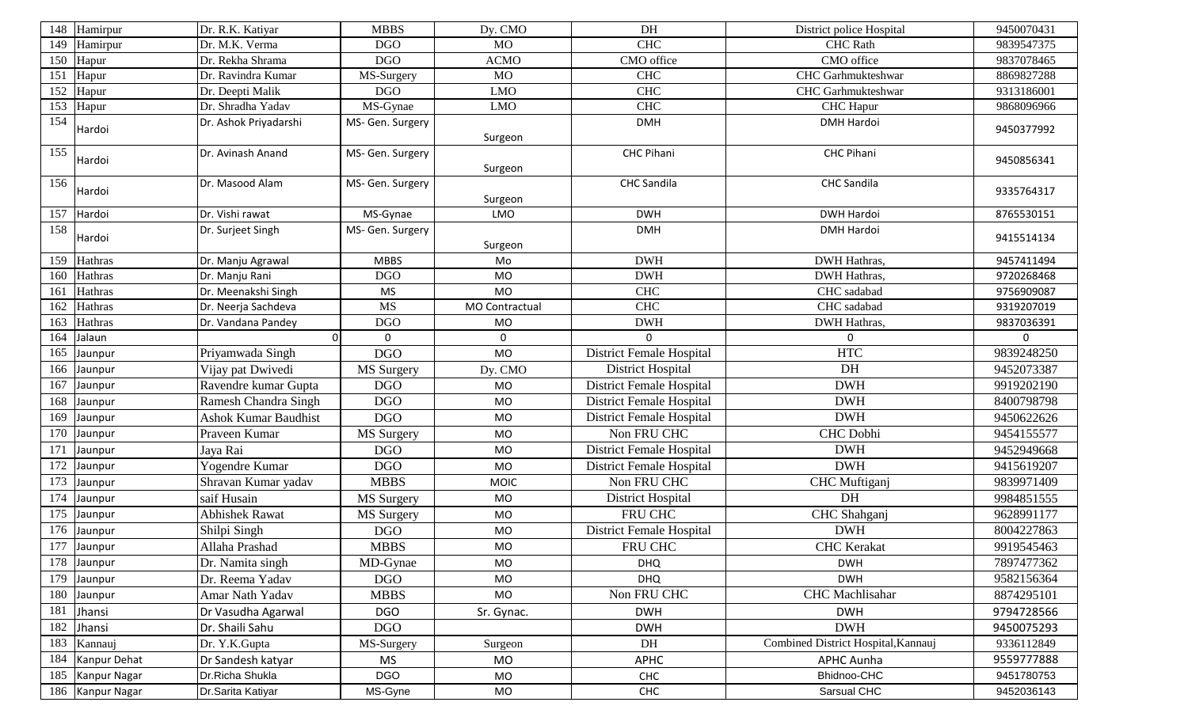| 148 | Hamirpur                 | Dr. R.K. Katiyar            | <b>MBBS</b>       | Dy. CMO        | DH                              | District police Hospital            | 9450070431 |
|-----|--------------------------|-----------------------------|-------------------|----------------|---------------------------------|-------------------------------------|------------|
| 149 | Hamirpur                 | Dr. M.K. Verma              | <b>DGO</b>        | MO             | CHC                             | <b>CHC</b> Rath                     | 9839547375 |
| 150 | Hapur                    | Dr. Rekha Shrama            | <b>DGO</b>        | <b>ACMO</b>    | CMO office                      | CMO office                          | 9837078465 |
| 151 | Hapur                    | Dr. Ravindra Kumar          | MS-Surgery        | <b>MO</b>      | <b>CHC</b>                      | CHC Garhmukteshwar                  | 8869827288 |
| 152 | Hapur                    | Dr. Deepti Malik            | <b>DGO</b>        | <b>LMO</b>     | <b>CHC</b>                      | CHC Garhmukteshwar                  | 9313186001 |
| 153 | Hapur                    | Dr. Shradha Yadav           | MS-Gynae          | <b>LMO</b>     | <b>CHC</b>                      | CHC Hapur                           | 9868096966 |
| 154 | Hardoi                   | Dr. Ashok Priyadarshi       | MS- Gen. Surgery  |                | <b>DMH</b>                      | <b>DMH Hardoi</b>                   | 9450377992 |
|     |                          |                             |                   | Surgeon        |                                 |                                     |            |
| 155 | Hardoi                   | Dr. Avinash Anand           | MS- Gen. Surgery  |                | <b>CHC Pihani</b>               | <b>CHC Pihani</b>                   | 9450856341 |
|     |                          |                             |                   | Surgeon        |                                 |                                     |            |
| 156 | Hardoi                   | Dr. Masood Alam             | MS- Gen. Surgery  |                | <b>CHC</b> Sandila              | <b>CHC Sandila</b>                  | 9335764317 |
|     |                          |                             |                   | Surgeon        |                                 |                                     |            |
| 157 | Hardoi                   | Dr. Vishi rawat             | MS-Gynae          | LMO            | <b>DWH</b>                      | <b>DWH Hardoi</b>                   | 8765530151 |
| 158 | Hardoi                   | Dr. Surjeet Singh           | MS- Gen. Surgery  |                | <b>DMH</b>                      | <b>DMH Hardoi</b>                   | 9415514134 |
|     |                          |                             |                   | Surgeon        |                                 |                                     |            |
| 159 | Hathras                  | Dr. Manju Agrawal           | <b>MBBS</b>       | Mo             | <b>DWH</b>                      | DWH Hathras,                        | 9457411494 |
| 160 | Hathras                  | Dr. Manju Rani              | <b>DGO</b>        | <b>MO</b>      | <b>DWH</b>                      | <b>DWH Hathras,</b>                 | 9720268468 |
| 161 | Hathras                  | Dr. Meenakshi Singh         | <b>MS</b>         | <b>MO</b>      | CHC                             | CHC sadabad                         | 9756909087 |
| 162 | Hathras                  | Dr. Neerja Sachdeva         | <b>MS</b>         | MO Contractual | <b>CHC</b>                      | CHC sadabad                         | 9319207019 |
| 163 | Hathras                  | Dr. Vandana Pandey          | <b>DGO</b>        | <b>MO</b>      | <b>DWH</b>                      | DWH Hathras,                        | 9837036391 |
| 164 | Jalaun                   | $\Omega$                    | 0                 | $\mathbf 0$    | U                               | $\mathbf{0}$                        | $\Omega$   |
| 165 | Jaunpur                  | Priyamwada Singh            | <b>DGO</b>        | <b>MO</b>      | District Female Hospital        | <b>HTC</b>                          | 9839248250 |
| 166 | Jaunpur                  | Vijay pat Dwivedi           | MS Surgery        | Dy. CMO        | <b>District Hospital</b>        | DH                                  | 9452073387 |
| 167 | Jaunpur                  | Ravendre kumar Gupta        | <b>DGO</b>        | <b>MO</b>      | District Female Hospital        | <b>DWH</b>                          | 9919202190 |
| 168 | Jaunpur                  | Ramesh Chandra Singh        | <b>DGO</b>        | <b>MO</b>      | <b>District Female Hospital</b> | <b>DWH</b>                          | 8400798798 |
| 169 | Jaunpur                  | <b>Ashok Kumar Baudhist</b> | <b>DGO</b>        | MO             | <b>District Female Hospital</b> | <b>DWH</b>                          | 9450622626 |
| 170 | Jaunpur                  | Praveen Kumar               | MS Surgery        | <b>MO</b>      | Non FRU CHC                     | <b>CHC</b> Dobhi                    | 9454155577 |
| 171 | Jaunpur                  | Jaya Rai                    | <b>DGO</b>        | MO             | District Female Hospital        | <b>DWH</b>                          | 9452949668 |
| 172 | Jaunpur                  | Yogendre Kumar              | <b>DGO</b>        | <b>MO</b>      | District Female Hospital        | <b>DWH</b>                          | 9415619207 |
| 173 | Jaunpur                  | Shravan Kumar yadav         | <b>MBBS</b>       | <b>MOIC</b>    | Non FRU CHC                     | CHC Muftiganj                       | 9839971409 |
| 174 | Jaunpur                  | saif Husain                 | MS Surgery        | <b>MO</b>      | District Hospital               | DH                                  | 9984851555 |
| 175 | Jaunpur                  | <b>Abhishek Rawat</b>       | <b>MS</b> Surgery | <b>MO</b>      | FRU CHC                         | CHC Shahganj                        | 9628991177 |
| 176 | Jaunpur                  | Shilpi Singh                | <b>DGO</b>        | <b>MO</b>      | <b>District Female Hospital</b> | <b>DWH</b>                          | 8004227863 |
|     | $\overline{177}$ Jaunpur | Allaha Prashad              | <b>MBBS</b>       | MO             | FRU CHC                         | <b>CHC</b> Kerakat                  | 9919545463 |
| 178 | Jaunpur                  | Dr. Namita singh            | MD-Gynae          | MO             | <b>DHQ</b>                      | <b>DWH</b>                          | 7897477362 |
| 179 | Jaunpur                  | Dr. Reema Yadav             | <b>DGO</b>        | <b>MO</b>      | <b>DHQ</b>                      | <b>DWH</b>                          | 9582156364 |
| 180 | Jaunpur                  | Amar Nath Yadav             | <b>MBBS</b>       | MO             | Non FRU CHC                     | CHC Machlisahar                     | 8874295101 |
| 181 | Jhansi                   | Dr Vasudha Agarwal          | <b>DGO</b>        | Sr. Gynac.     | <b>DWH</b>                      | <b>DWH</b>                          | 9794728566 |
| 182 | Jhansi                   | Dr. Shaili Sahu             | <b>DGO</b>        |                | <b>DWH</b>                      | <b>DWH</b>                          | 9450075293 |
| 183 | Kannauj                  | Dr. Y.K.Gupta               | MS-Surgery        | Surgeon        | DH                              | Combined District Hospital, Kannauj | 9336112849 |
| 184 | Kanpur Dehat             | Dr Sandesh katyar           | <b>MS</b>         | <b>MO</b>      | <b>APHC</b>                     | <b>APHC Aunha</b>                   | 9559777888 |
| 185 | Kanpur Nagar             | Dr.Richa Shukla             | <b>DGO</b>        | MO             | CHC                             | Bhidnoo-CHC                         | 9451780753 |
| 186 | Kanpur Nagar             | Dr.Sarita Katiyar           | MS-Gyne           | MO             | <b>CHC</b>                      | Sarsual CHC                         | 9452036143 |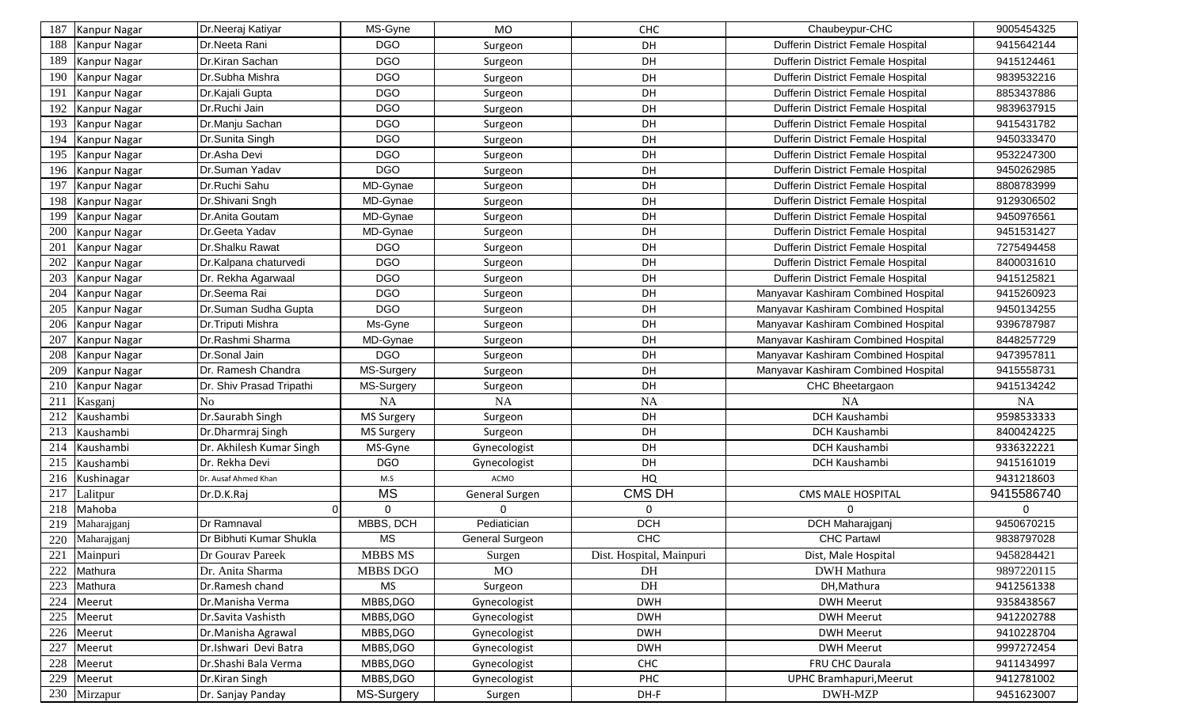| 187 | Kanpur Nagar | Dr.Neeraj Katiyar        | MS-Gyne                | <b>MO</b>       | <b>CHC</b>               | Chaubeypur-CHC                           | 9005454325 |
|-----|--------------|--------------------------|------------------------|-----------------|--------------------------|------------------------------------------|------------|
| 188 | Kanpur Nagar | Dr.Neeta Rani            | <b>DGO</b>             | Surgeon         | DH                       | Dufferin District Female Hospital        | 9415642144 |
| 189 | Kanpur Nagar | Dr.Kiran Sachan          | <b>DGO</b>             | Surgeon         | DH                       | Dufferin District Female Hospital        | 9415124461 |
| 190 | Kanpur Nagar | Dr.Subha Mishra          | <b>DGO</b>             | Surgeon         | DH                       | Dufferin District Female Hospital        | 9839532216 |
| 191 | Kanpur Nagar | Dr.Kajali Gupta          | <b>DGO</b>             | Surgeon         | DH                       | <b>Dufferin District Female Hospital</b> | 8853437886 |
| 192 | Kanpur Nagar | Dr.Ruchi Jain            | <b>DGO</b>             | Surgeon         | DH                       | Dufferin District Female Hospital        | 9839637915 |
| 193 | Kanpur Nagar | Dr.Manju Sachan          | <b>DGO</b>             | Surgeon         | DH                       | Dufferin District Female Hospital        | 9415431782 |
| 194 | Kanpur Nagar | Dr.Sunita Singh          | <b>DGO</b>             | Surgeon         | DH                       | Dufferin District Female Hospital        | 9450333470 |
| 195 | Kanpur Nagar | Dr.Asha Devi             | <b>DGO</b>             | Surgeon         | DH                       | Dufferin District Female Hospital        | 9532247300 |
| 196 | Kanpur Nagar | Dr.Suman Yadav           | <b>DGO</b>             | Surgeon         | DH                       | Dufferin District Female Hospital        | 9450262985 |
| 197 | Kanpur Nagar | Dr.Ruchi Sahu            | MD-Gynae               | Surgeon         | <b>DH</b>                | Dufferin District Female Hospital        | 8808783999 |
| 198 | Kanpur Nagar | Dr.Shivani Sngh          | MD-Gynae               | Surgeon         | DH                       | Dufferin District Female Hospital        | 9129306502 |
| 199 | Kanpur Nagar | Dr.Anita Goutam          | MD-Gynae               | Surgeon         | DH                       | Dufferin District Female Hospital        | 9450976561 |
| 200 | Kanpur Nagar | Dr.Geeta Yadav           | MD-Gynae               | Surgeon         | DH                       | Dufferin District Female Hospital        | 9451531427 |
| 201 | Kanpur Nagar | Dr.Shalku Rawat          | <b>DGO</b>             | Surgeon         | DH                       | Dufferin District Female Hospital        | 7275494458 |
| 202 | Kanpur Nagar | Dr.Kalpana chaturvedi    | <b>DGO</b>             | Surgeon         | DH                       | Dufferin District Female Hospital        | 8400031610 |
| 203 | Kanpur Nagar | Dr. Rekha Agarwaal       | <b>DGO</b>             | Surgeon         | DH                       | Dufferin District Female Hospital        | 9415125821 |
| 204 | Kanpur Nagar | Dr.Seema Rai             | <b>DGO</b>             | Surgeon         | DH                       | Manyavar Kashiram Combined Hospital      | 9415260923 |
| 205 | Kanpur Nagar | Dr.Suman Sudha Gupta     | <b>DGO</b>             | Surgeon         | DH                       | Manyavar Kashiram Combined Hospital      | 9450134255 |
| 206 | Kanpur Nagar | Dr.Triputi Mishra        | Ms-Gyne                | Surgeon         | DH                       | Manyavar Kashiram Combined Hospital      | 9396787987 |
| 207 | Kanpur Nagar | Dr.Rashmi Sharma         | MD-Gynae               | Surgeon         | DH                       | Manyavar Kashiram Combined Hospital      | 8448257729 |
| 208 | Kanpur Nagar | Dr.Sonal Jain            | DGO                    | Surgeon         | DH                       | Manyavar Kashiram Combined Hospital      | 9473957811 |
| 209 | Kanpur Nagar | Dr. Ramesh Chandra       | MS-Surgery             | Surgeon         | DH                       | Manyavar Kashiram Combined Hospital      | 9415558731 |
| 210 | Kanpur Nagar | Dr. Shiv Prasad Tripathi | MS-Surgery             | Surgeon         | DH                       | CHC Bheetargaon                          | 9415134242 |
| 211 | Kasganj      | N <sub>o</sub>           | <b>NA</b>              | NA              | <b>NA</b>                | <b>NA</b>                                | <b>NA</b>  |
| 212 | Kaushambi    | Dr.Saurabh Singh         | MS Surgery             | Surgeon         | DH                       | DCH Kaushambi                            | 9598533333 |
| 213 | Kaushambi    | Dr.Dharmraj Singh        | MS Surgery             | Surgeon         | DH                       | DCH Kaushambi                            | 8400424225 |
| 214 | Kaushambi    | Dr. Akhilesh Kumar Singh | MS-Gyne                | Gynecologist    | DH                       | DCH Kaushambi                            | 9336322221 |
| 215 | Kaushambi    | Dr. Rekha Devi           | <b>DGO</b>             | Gynecologist    | DH                       | DCH Kaushambi                            | 9415161019 |
| 216 | Kushinagar   | Dr. Ausaf Ahmed Khan     | M.S                    | ACMO            | HQ                       |                                          | 9431218603 |
| 217 | Lalitpur     | Dr.D.K.Raj               | <b>MS</b>              | General Surgen  | <b>CMS DH</b>            | <b>CMS MALE HOSPITAL</b>                 | 9415586740 |
| 218 | Mahoba       | $\Omega$                 | 0                      | 0               | 0                        | $\mathbf 0$                              | 0          |
| 219 | Maharajganj  | Dr Ramnaval              | MBBS, DCH              | Pediatician     | <b>DCH</b>               | DCH Maharajganj                          | 9450670215 |
| 220 | Maharajganj  | Dr Bibhuti Kumar Shukla  | $\overline{\text{MS}}$ | General Surgeon | CHC                      | <b>CHC Partawl</b>                       | 9838797028 |
| 221 | Mainpuri     | Dr Gourav Pareek         | <b>MBBS MS</b>         | Surgen          | Dist. Hospital, Mainpuri | Dist, Male Hospital                      | 9458284421 |
| 222 | Mathura      | Dr. Anita Sharma         | MBBS DGO               | <b>MO</b>       | DH                       | <b>DWH</b> Mathura                       | 9897220115 |
| 223 | Mathura      | Dr.Ramesh chand          | <b>MS</b>              | Surgeon         | DH                       | DH, Mathura                              | 9412561338 |
| 224 | Meerut       | Dr.Manisha Verma         | MBBS, DGO              | Gynecologist    | <b>DWH</b>               | <b>DWH Meerut</b>                        | 9358438567 |
| 225 | Meerut       | Dr.Savita Vashisth       | MBBS, DGO              | Gynecologist    | <b>DWH</b>               | <b>DWH Meerut</b>                        | 9412202788 |
| 226 | Meerut       | Dr.Manisha Agrawal       | MBBS, DGO              | Gynecologist    | <b>DWH</b>               | <b>DWH Meerut</b>                        | 9410228704 |
| 227 | Meerut       | Dr.Ishwari Devi Batra    | MBBS, DGO              | Gynecologist    | <b>DWH</b>               | <b>DWH Meerut</b>                        | 9997272454 |
| 228 | Meerut       | Dr.Shashi Bala Verma     | MBBS, DGO              | Gynecologist    | <b>CHC</b>               | FRU CHC Daurala                          | 9411434997 |
| 229 | Meerut       | Dr.Kiran Singh           | MBBS, DGO              | Gynecologist    | PHC                      | UPHC Bramhapuri, Meerut                  | 9412781002 |
|     | 230 Mirzapur | Dr. Sanjay Panday        | MS-Surgery             | Surgen          | DH-F                     | DWH-MZP                                  | 9451623007 |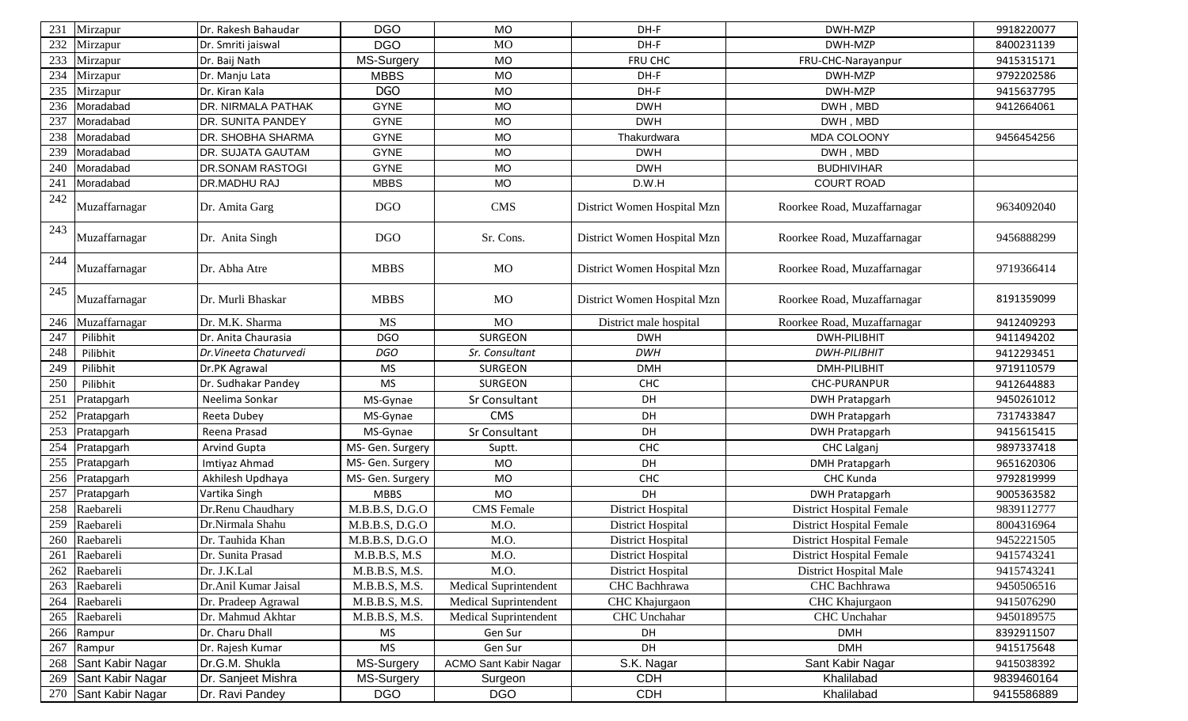| 231 | Mirzapur         | Dr. Rakesh Bahaudar    | <b>DGO</b>       | MO                           | DH-F                        | DWH-MZP                         | 9918220077 |
|-----|------------------|------------------------|------------------|------------------------------|-----------------------------|---------------------------------|------------|
| 232 | Mirzapur         | Dr. Smriti jaiswal     | <b>DGO</b>       | <b>MO</b>                    | DH-F                        | DWH-MZP                         | 8400231139 |
| 233 | Mirzapur         | Dr. Baij Nath          | MS-Surgery       | MO                           | FRU CHC                     | FRU-CHC-Narayanpur              | 9415315171 |
| 234 | Mirzapur         | Dr. Manju Lata         | <b>MBBS</b>      | <b>MO</b>                    | DH-F                        | DWH-MZP                         | 9792202586 |
| 235 | Mirzapur         | Dr. Kiran Kala         | <b>DGO</b>       | <b>MO</b>                    | DH-F                        | DWH-MZP                         | 9415637795 |
| 236 | Moradabad        | DR. NIRMALA PATHAK     | <b>GYNE</b>      | <b>MO</b>                    | <b>DWH</b>                  | DWH, MBD                        | 9412664061 |
| 237 | Moradabad        | DR. SUNITA PANDEY      | <b>GYNE</b>      | <b>MO</b>                    | <b>DWH</b>                  | DWH, MBD                        |            |
| 238 | Moradabad        | DR. SHOBHA SHARMA      | <b>GYNE</b>      | <b>MO</b>                    | Thakurdwara                 | MDA COLOONY                     | 9456454256 |
| 239 | Moradabad        | DR. SUJATA GAUTAM      | <b>GYNE</b>      | <b>MO</b>                    | <b>DWH</b>                  | DWH, MBD                        |            |
| 240 | Moradabad        | DR.SONAM RASTOGI       | <b>GYNE</b>      | <b>MO</b>                    | <b>DWH</b>                  | <b>BUDHIVIHAR</b>               |            |
| 241 | Moradabad        | DR.MADHU RAJ           | <b>MBBS</b>      | <b>MO</b>                    | D.W.H                       | <b>COURT ROAD</b>               |            |
| 242 | Muzaffarnagar    | Dr. Amita Garg         | D <sub>G</sub> O | <b>CMS</b>                   | District Women Hospital Mzn | Roorkee Road, Muzaffarnagar     | 9634092040 |
| 243 | Muzaffarnagar    | Dr. Anita Singh        | <b>DGO</b>       | Sr. Cons.                    | District Women Hospital Mzn | Roorkee Road, Muzaffarnagar     | 9456888299 |
| 244 | Muzaffarnagar    | Dr. Abha Atre          | <b>MBBS</b>      | MO                           | District Women Hospital Mzn | Roorkee Road, Muzaffarnagar     | 9719366414 |
| 245 | Muzaffarnagar    | Dr. Murli Bhaskar      | <b>MBBS</b>      | MO                           | District Women Hospital Mzn | Roorkee Road, Muzaffarnagar     | 8191359099 |
| 246 | Muzaffarnagar    | Dr. M.K. Sharma        | <b>MS</b>        | <b>MO</b>                    | District male hospital      | Roorkee Road, Muzaffarnagar     | 9412409293 |
| 247 | Pilibhit         | Dr. Anita Chaurasia    | <b>DGO</b>       | SURGEON                      | <b>DWH</b>                  | DWH-PILIBHIT                    | 9411494202 |
| 248 | Pilibhit         | Dr. Vineeta Chaturvedi | <b>DGO</b>       | Sr. Consultant               | <b>DWH</b>                  | <b>DWH-PILIBHIT</b>             | 9412293451 |
| 249 | Pilibhit         | Dr.PK Agrawal          | <b>MS</b>        | SURGEON                      | <b>DMH</b>                  | DMH-PILIBHIT                    | 9719110579 |
| 250 | Pilibhit         | Dr. Sudhakar Pandey    | <b>MS</b>        | SURGEON                      | <b>CHC</b>                  | <b>CHC-PURANPUR</b>             | 9412644883 |
| 251 | Pratapgarh       | Neelima Sonkar         | MS-Gynae         | Sr Consultant                | DH                          | <b>DWH Pratapgarh</b>           | 9450261012 |
| 252 | Pratapgarh       | Reeta Dubey            | MS-Gynae         | <b>CMS</b>                   | DH                          | <b>DWH Pratapgarh</b>           | 7317433847 |
| 253 | Pratapgarh       | Reena Prasad           | MS-Gynae         | Sr Consultant                | DH                          | <b>DWH Pratapgarh</b>           | 9415615415 |
| 254 | Pratapgarh       | <b>Arvind Gupta</b>    | MS- Gen. Surgery | Suptt.                       | CHC                         | CHC Lalganj                     | 9897337418 |
| 255 | Pratapgarh       | Imtiyaz Ahmad          | MS- Gen. Surgery | MO                           | DH                          | <b>DMH Pratapgarh</b>           | 9651620306 |
| 256 | Pratapgarh       | Akhilesh Updhaya       | MS- Gen. Surgery | MO                           | CHC                         | CHC Kunda                       | 9792819999 |
| 257 | Pratapgarh       | Vartika Singh          | <b>MBBS</b>      | <b>MO</b>                    | DH                          | <b>DWH Pratapgarh</b>           | 9005363582 |
| 258 | Raebareli        | Dr.Renu Chaudhary      | M.B.B.S, D.G.O   | <b>CMS</b> Female            | <b>District Hospital</b>    | <b>District Hospital Female</b> | 9839112777 |
| 259 | Raebareli        | Dr.Nirmala Shahu       | M.B.B.S, D.G.O   | M.O.                         | <b>District Hospital</b>    | <b>District Hospital Female</b> | 8004316964 |
| 260 | Raebareli        | Dr. Tauhida Khan       | M.B.B.S, D.G.O   | M.O.                         | District Hospital           | <b>District Hospital Female</b> | 9452221505 |
|     | 261 Raebareli    | Dr. Sunita Prasad      | M.B.B.S, M.S     | M.O.                         | District Hospital           | <b>District Hospital Female</b> | 9415743241 |
| 262 | Raebareli        | Dr. J.K.Lal            | M.B.B.S, M.S.    | M.O.                         | District Hospital           | District Hospital Male          | 9415743241 |
| 263 | Raebareli        | Dr.Anil Kumar Jaisal   | M.B.B.S, M.S.    | Medical Suprintendent        | CHC Bachhrawa               | CHC Bachhrawa                   | 9450506516 |
| 264 | Raebareli        | Dr. Pradeep Agrawal    | M.B.B.S, M.S.    | Medical Suprintendent        | CHC Khajurgaon              | CHC Khajurgaon                  | 9415076290 |
| 265 | Raebareli        | Dr. Mahmud Akhtar      | M.B.B.S, M.S.    | Medical Suprintendent        | CHC Unchahar                | CHC Unchahar                    | 9450189575 |
| 266 | Rampur           | Dr. Charu Dhall        | <b>MS</b>        | Gen Sur                      | DH                          | <b>DMH</b>                      | 8392911507 |
| 267 | Rampur           | Dr. Rajesh Kumar       | MS               | Gen Sur                      | DH                          | <b>DMH</b>                      | 9415175648 |
| 268 | Sant Kabir Nagar | Dr.G.M. Shukla         | MS-Surgery       | <b>ACMO Sant Kabir Nagar</b> | S.K. Nagar                  | Sant Kabir Nagar                | 9415038392 |
| 269 | Sant Kabir Nagar | Dr. Sanjeet Mishra     | MS-Surgery       | Surgeon                      | <b>CDH</b>                  | Khalilabad                      | 9839460164 |
| 270 | Sant Kabir Nagar | Dr. Ravi Pandey        | <b>DGO</b>       | <b>DGO</b>                   | CDH                         | Khalilabad                      | 9415586889 |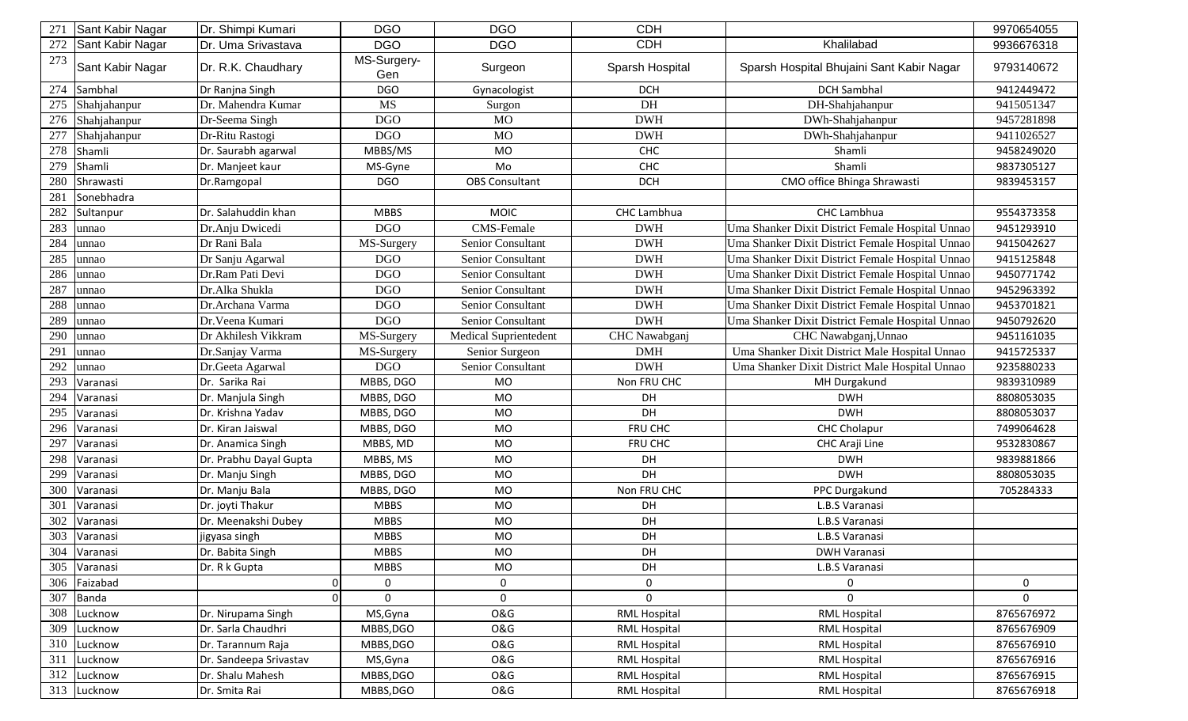| 271 | Sant Kabir Nagar | Dr. Shimpi Kumari      | <b>DGO</b>         | <b>DGO</b>            | <b>CDH</b>          |                                                  | 9970654055 |
|-----|------------------|------------------------|--------------------|-----------------------|---------------------|--------------------------------------------------|------------|
| 272 | Sant Kabir Nagar | Dr. Uma Srivastava     | <b>DGO</b>         | <b>DGO</b>            | <b>CDH</b>          | Khalilabad                                       | 9936676318 |
| 273 | Sant Kabir Nagar | Dr. R.K. Chaudhary     | MS-Surgery-<br>Gen | Surgeon               | Sparsh Hospital     | Sparsh Hospital Bhujaini Sant Kabir Nagar        | 9793140672 |
| 274 | Sambhal          | Dr Ranjna Singh        | <b>DGO</b>         | Gynacologist          | <b>DCH</b>          | <b>DCH Sambhal</b>                               | 9412449472 |
| 275 | Shahjahanpur     | Dr. Mahendra Kumar     | <b>MS</b>          | Surgon                | DH                  | DH-Shahjahanpur                                  | 9415051347 |
| 276 | Shahjahanpur     | Dr-Seema Singh         | <b>DGO</b>         | <b>MO</b>             | <b>DWH</b>          | DWh-Shahjahanpur                                 | 9457281898 |
| 277 | Shahjahanpur     | Dr-Ritu Rastogi        | <b>DGO</b>         | <b>MO</b>             | <b>DWH</b>          | DWh-Shahjahanpur                                 | 9411026527 |
| 278 | Shamli           | Dr. Saurabh agarwal    | MBBS/MS            | <b>MO</b>             | CHC                 | Shamli                                           | 9458249020 |
| 279 | Shamli           | Dr. Manjeet kaur       | MS-Gyne            | Mo                    | CHC                 | Shamli                                           | 9837305127 |
| 280 | Shrawasti        | Dr.Ramgopal            | <b>DGO</b>         | <b>OBS Consultant</b> | <b>DCH</b>          | CMO office Bhinga Shrawasti                      | 9839453157 |
| 281 | Sonebhadra       |                        |                    |                       |                     |                                                  |            |
| 282 | Sultanpur        | Dr. Salahuddin khan    | <b>MBBS</b>        | <b>MOIC</b>           | CHC Lambhua         | CHC Lambhua                                      | 9554373358 |
| 283 | unnao            | Dr.Anju Dwicedi        | <b>DGO</b>         | CMS-Female            | <b>DWH</b>          | Uma Shanker Dixit District Female Hospital Unnao | 9451293910 |
| 284 | unnao            | Dr Rani Bala           | MS-Surgery         | Senior Consultant     | <b>DWH</b>          | Uma Shanker Dixit District Female Hospital Unnao | 9415042627 |
| 285 | unnao            | Dr Sanju Agarwal       | <b>DGO</b>         | Senior Consultant     | <b>DWH</b>          | Uma Shanker Dixit District Female Hospital Unnao | 9415125848 |
| 286 | unnao            | Dr.Ram Pati Devi       | <b>DGO</b>         | Senior Consultant     | <b>DWH</b>          | Uma Shanker Dixit District Female Hospital Unnao | 9450771742 |
| 287 | unnao            | Dr.Alka Shukla         | <b>DGO</b>         | Senior Consultant     | <b>DWH</b>          | Uma Shanker Dixit District Female Hospital Unnao | 9452963392 |
| 288 | unnao            | Dr.Archana Varma       | <b>DGO</b>         | Senior Consultant     | <b>DWH</b>          | Uma Shanker Dixit District Female Hospital Unnao | 9453701821 |
| 289 | unnao            | Dr. Veena Kumari       | <b>DGO</b>         | Senior Consultant     | <b>DWH</b>          | Uma Shanker Dixit District Female Hospital Unnao | 9450792620 |
| 290 | unnao            | Dr Akhilesh Vikkram    | MS-Surgery         | Medical Suprientedent | CHC Nawabganj       | CHC Nawabganj, Unnao                             | 9451161035 |
| 291 | unnao            | Dr.Sanjay Varma        | MS-Surgery         | Senior Surgeon        | <b>DMH</b>          | Uma Shanker Dixit District Male Hospital Unnao   | 9415725337 |
| 292 | unnao            | Dr.Geeta Agarwal       | <b>DGO</b>         | Senior Consultant     | <b>DWH</b>          | Uma Shanker Dixit District Male Hospital Unnao   | 9235880233 |
| 293 | Varanasi         | Dr. Sarika Rai         | MBBS, DGO          | MO                    | Non FRU CHC         | MH Durgakund                                     | 9839310989 |
| 294 | Varanasi         | Dr. Manjula Singh      | MBBS, DGO          | <b>MO</b>             | DH                  | <b>DWH</b>                                       | 8808053035 |
| 295 | Varanasi         | Dr. Krishna Yadav      | MBBS, DGO          | <b>MO</b>             | DH                  | <b>DWH</b>                                       | 8808053037 |
| 296 | Varanasi         | Dr. Kiran Jaiswal      | MBBS, DGO          | <b>MO</b>             | FRU CHC             | <b>CHC Cholapur</b>                              | 7499064628 |
| 297 | Varanasi         | Dr. Anamica Singh      | MBBS, MD           | <b>MO</b>             | FRU CHC             | CHC Araji Line                                   | 9532830867 |
| 298 | Varanasi         | Dr. Prabhu Dayal Gupta | MBBS, MS           | <b>MO</b>             | DH                  | <b>DWH</b>                                       | 9839881866 |
| 299 | Varanasi         | Dr. Manju Singh        | MBBS, DGO          | MO                    | DH                  | <b>DWH</b>                                       | 8808053035 |
| 300 | Varanasi         | Dr. Manju Bala         | MBBS, DGO          | <b>MO</b>             | Non FRU CHC         | PPC Durgakund                                    | 705284333  |
| 301 | Varanasi         | Dr. joyti Thakur       | <b>MBBS</b>        | <b>MO</b>             | DH                  | L.B.S Varanasi                                   |            |
| 302 | Varanasi         | Dr. Meenakshi Dubey    | <b>MBBS</b>        | <b>MO</b>             | DH                  | L.B.S Varanasi                                   |            |
| 303 | Varanasi         | jigyasa singh          | <b>MBBS</b>        | <b>MO</b>             | DH                  | L.B.S Varanasi                                   |            |
| 304 | Varanasi         | Dr. Babita Singh       | <b>MBBS</b>        | MO                    | DH                  | DWH Varanasi                                     |            |
| 305 | Varanasi         | Dr. R k Gupta          | <b>MBBS</b>        | <b>MO</b>             | DH                  | L.B.S Varanasi                                   |            |
| 306 | Faizabad         | $\overline{0}$         | 0                  | 0                     | 0                   | 0                                                | 0          |
| 307 | <b>Banda</b>     | οI                     | $\mathbf 0$        | $\mathbf 0$           | $\mathbf{0}$        | $\Omega$                                         | $\Omega$   |
| 308 | Lucknow          | Dr. Nirupama Singh     | MS, Gyna           | <b>O&amp;G</b>        | <b>RML Hospital</b> | <b>RML Hospital</b>                              | 8765676972 |
| 309 | Lucknow          | Dr. Sarla Chaudhri     | MBBS, DGO          | O&G                   | <b>RML Hospital</b> | <b>RML Hospital</b>                              | 8765676909 |
| 310 | Lucknow          | Dr. Tarannum Raja      | MBBS, DGO          | <b>O&amp;G</b>        | <b>RML Hospital</b> | <b>RML Hospital</b>                              | 8765676910 |
| 311 | Lucknow          | Dr. Sandeepa Srivastav | MS, Gyna           | <b>O&amp;G</b>        | <b>RML Hospital</b> | <b>RML Hospital</b>                              | 8765676916 |
| 312 | Lucknow          | Dr. Shalu Mahesh       | MBBS, DGO          | O&G                   | <b>RML Hospital</b> | <b>RML Hospital</b>                              | 8765676915 |
| 313 | Lucknow          | Dr. Smita Rai          | MBBS, DGO          | O&G                   | <b>RML Hospital</b> | <b>RML Hospital</b>                              | 8765676918 |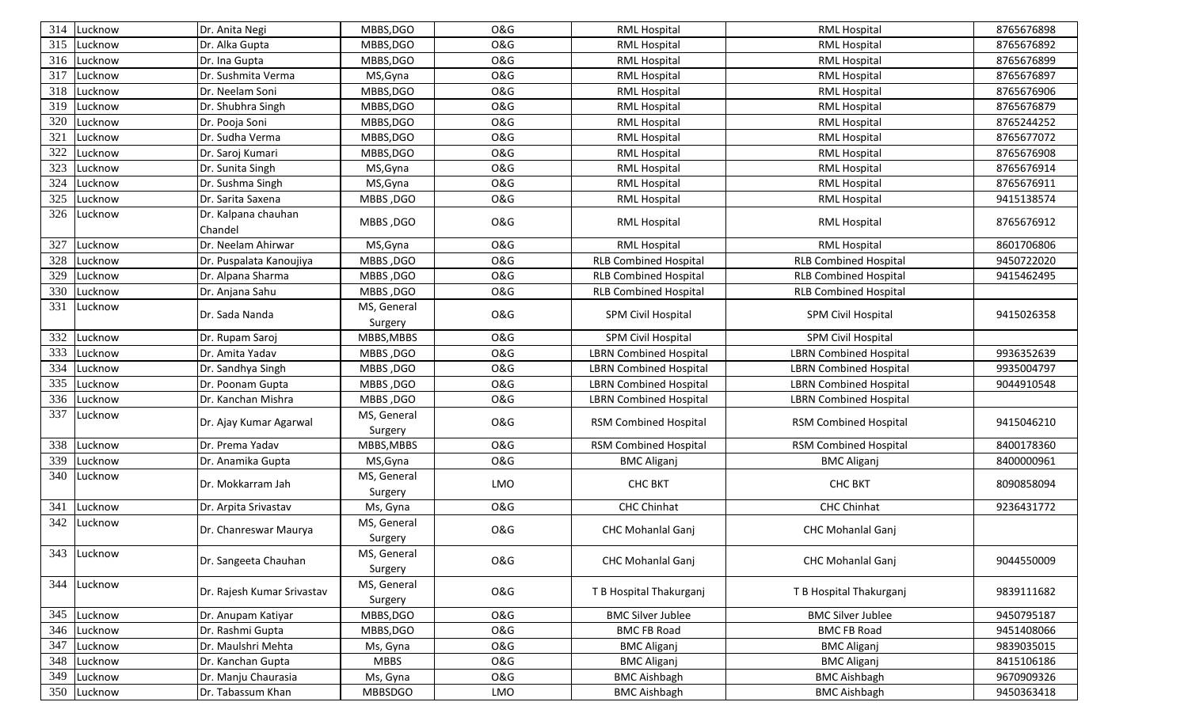| 314 | Lucknow     | Dr. Anita Negi                 | MBBS, DGO              | <b>O&amp;G</b> | <b>RML Hospital</b>           | <b>RML Hospital</b>           | 8765676898 |
|-----|-------------|--------------------------------|------------------------|----------------|-------------------------------|-------------------------------|------------|
| 315 | Lucknow     | Dr. Alka Gupta                 | MBBS, DGO              | <b>O&amp;G</b> | <b>RML Hospital</b>           | <b>RML Hospital</b>           | 8765676892 |
| 316 | Lucknow     | Dr. Ina Gupta                  | MBBS, DGO              | <b>O&amp;G</b> | <b>RML Hospital</b>           | <b>RML Hospital</b>           | 8765676899 |
| 317 | Lucknow     | Dr. Sushmita Verma             | MS, Gyna               | <b>O&amp;G</b> | <b>RML Hospital</b>           | <b>RML Hospital</b>           | 8765676897 |
| 318 | Lucknow     | Dr. Neelam Soni                | MBBS, DGO              | <b>O&amp;G</b> | <b>RML Hospital</b>           | <b>RML Hospital</b>           | 8765676906 |
| 319 | Lucknow     | Dr. Shubhra Singh              | MBBS, DGO              | <b>O&amp;G</b> | <b>RML Hospital</b>           | <b>RML Hospital</b>           | 8765676879 |
| 320 | Lucknow     | Dr. Pooja Soni                 | MBBS, DGO              | <b>O&amp;G</b> | <b>RML Hospital</b>           | <b>RML Hospital</b>           | 8765244252 |
| 321 | Lucknow     | Dr. Sudha Verma                | MBBS, DGO              | <b>O&amp;G</b> | <b>RML Hospital</b>           | <b>RML Hospital</b>           | 8765677072 |
| 322 | Lucknow     | Dr. Saroj Kumari               | MBBS, DGO              | <b>O&amp;G</b> | <b>RML Hospital</b>           | <b>RML Hospital</b>           | 8765676908 |
| 323 | Lucknow     | Dr. Sunita Singh               | MS, Gyna               | <b>O&amp;G</b> | <b>RML Hospital</b>           | <b>RML Hospital</b>           | 8765676914 |
| 324 | Lucknow     | Dr. Sushma Singh               | MS, Gyna               | <b>O&amp;G</b> | <b>RML Hospital</b>           | <b>RML Hospital</b>           | 8765676911 |
| 325 | Lucknow     | Dr. Sarita Saxena              | MBBS, DGO              | O&G            | <b>RML Hospital</b>           | <b>RML Hospital</b>           | 9415138574 |
| 326 | Lucknow     | Dr. Kalpana chauhan<br>Chandel | MBBS, DGO              | <b>O&amp;G</b> | <b>RML Hospital</b>           | <b>RML Hospital</b>           | 8765676912 |
| 327 | Lucknow     | Dr. Neelam Ahirwar             | MS, Gyna               | <b>O&amp;G</b> | <b>RML Hospital</b>           | <b>RML Hospital</b>           | 8601706806 |
| 328 | Lucknow     | Dr. Puspalata Kanoujiya        | MBBS, DGO              | <b>O&amp;G</b> | <b>RLB Combined Hospital</b>  | <b>RLB Combined Hospital</b>  | 9450722020 |
| 329 | Lucknow     | Dr. Alpana Sharma              | MBBS, DGO              | <b>O&amp;G</b> | <b>RLB Combined Hospital</b>  | <b>RLB Combined Hospital</b>  | 9415462495 |
| 330 | Lucknow     | Dr. Anjana Sahu                | MBBS, DGO              | O&G            | <b>RLB Combined Hospital</b>  | <b>RLB Combined Hospital</b>  |            |
| 331 | Lucknow     | Dr. Sada Nanda                 | MS, General<br>Surgery | O&G            | SPM Civil Hospital            | SPM Civil Hospital            | 9415026358 |
| 332 | Lucknow     | Dr. Rupam Saroj                | MBBS, MBBS             | <b>O&amp;G</b> | SPM Civil Hospital            | <b>SPM Civil Hospital</b>     |            |
| 333 | Lucknow     | Dr. Amita Yadav                | MBBS, DGO              | <b>O&amp;G</b> | <b>LBRN Combined Hospital</b> | <b>LBRN Combined Hospital</b> | 9936352639 |
| 334 | Lucknow     | Dr. Sandhya Singh              | MBBS, DGO              | O&G            | <b>LBRN Combined Hospital</b> | <b>LBRN Combined Hospital</b> | 9935004797 |
| 335 | Lucknow     | Dr. Poonam Gupta               | MBBS, DGO              | <b>O&amp;G</b> | <b>LBRN Combined Hospital</b> | <b>LBRN Combined Hospital</b> | 9044910548 |
| 336 | Lucknow     | Dr. Kanchan Mishra             | MBBS, DGO              | <b>O&amp;G</b> | <b>LBRN Combined Hospital</b> | <b>LBRN Combined Hospital</b> |            |
| 337 | Lucknow     | Dr. Ajay Kumar Agarwal         | MS, General<br>Surgery | <b>O&amp;G</b> | RSM Combined Hospital         | <b>RSM Combined Hospital</b>  | 9415046210 |
| 338 | Lucknow     | Dr. Prema Yadav                | MBBS, MBBS             | <b>O&amp;G</b> | RSM Combined Hospital         | RSM Combined Hospital         | 8400178360 |
| 339 | Lucknow     | Dr. Anamika Gupta              | MS, Gyna               | <b>O&amp;G</b> | <b>BMC Aliganj</b>            | <b>BMC Aliganj</b>            | 8400000961 |
| 340 | Lucknow     | Dr. Mokkarram Jah              | MS, General<br>Surgery | LMO            | <b>CHC BKT</b>                | <b>CHC BKT</b>                | 8090858094 |
| 341 | Lucknow     | Dr. Arpita Srivastav           | Ms, Gyna               | <b>O&amp;G</b> | <b>CHC Chinhat</b>            | <b>CHC Chinhat</b>            | 9236431772 |
| 342 | Lucknow     | Dr. Chanreswar Maurya          | MS, General<br>Surgery | <b>O&amp;G</b> | <b>CHC Mohanlal Ganj</b>      | <b>CHC Mohanlal Ganj</b>      |            |
|     | 343 Lucknow | Dr. Sangeeta Chauhan           | MS, General<br>Surgery | <b>O&amp;G</b> | CHC Mohanlal Ganj             | CHC Mohanlal Ganj             | 9044550009 |
| 344 | Lucknow     | Dr. Rajesh Kumar Srivastav     | MS, General<br>Surgery | O&G            | T B Hospital Thakurganj       | T B Hospital Thakurganj       | 9839111682 |
| 345 | Lucknow     | Dr. Anupam Katiyar             | MBBS, DGO              | O&G            | <b>BMC Silver Jublee</b>      | <b>BMC Silver Jublee</b>      | 9450795187 |
| 346 | Lucknow     | Dr. Rashmi Gupta               | MBBS, DGO              | <b>O&amp;G</b> | <b>BMC FB Road</b>            | <b>BMC FB Road</b>            | 9451408066 |
| 347 | Lucknow     | Dr. Maulshri Mehta             | Ms, Gyna               | O&G            | <b>BMC Aliganj</b>            | <b>BMC Aliganj</b>            | 9839035015 |
| 348 | Lucknow     | Dr. Kanchan Gupta              | MBBS                   | O&G            | <b>BMC Aliganj</b>            | <b>BMC Aliganj</b>            | 8415106186 |
| 349 | Lucknow     | Dr. Manju Chaurasia            | Ms, Gyna               | O&G            | <b>BMC Aishbagh</b>           | <b>BMC Aishbagh</b>           | 9670909326 |
| 350 | Lucknow     | Dr. Tabassum Khan              | <b>MBBSDGO</b>         | LMO            | <b>BMC Aishbagh</b>           | <b>BMC Aishbagh</b>           | 9450363418 |